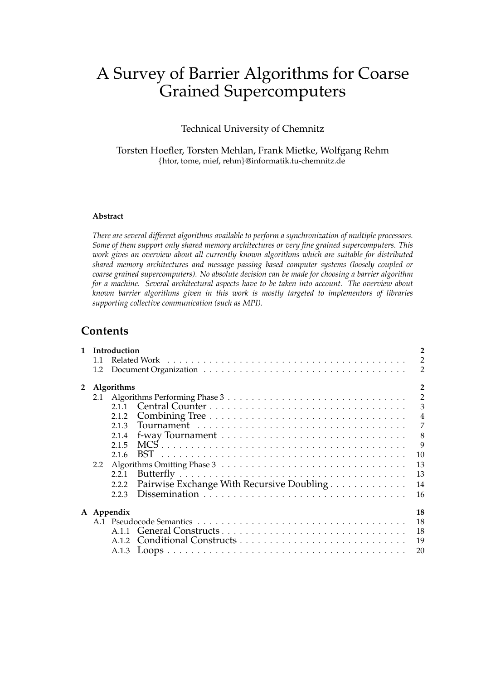# A Survey of Barrier Algorithms for Coarse Grained Supercomputers

Technical University of Chemnitz

Torsten Hoefler, Torsten Mehlan, Frank Mietke, Wolfgang Rehm {htor, tome, mief, rehm}@informatik.tu-chemnitz.de

### **Abstract**

*There are several different algorithms available to perform a synchronization of multiple processors. Some of them support only shared memory architectures or very fine grained supercomputers. This work gives an overview about all currently known algorithms which are suitable for distributed shared memory architectures and message passing based computer systems (loosely coupled or coarse grained supercomputers). No absolute decision can be made for choosing a barrier algorithm for a machine. Several architectural aspects have to be taken into account. The overview about known barrier algorithms given in this work is mostly targeted to implementors of libraries supporting collective communication (such as MPI).*

### **Contents**

|                | $\overline{\mathbf{c}}$<br>1 Introduction |                   |                                           |                |
|----------------|-------------------------------------------|-------------------|-------------------------------------------|----------------|
|                | 1.1                                       |                   |                                           | $\overline{2}$ |
|                | 1.2                                       |                   |                                           | $\overline{2}$ |
| $\overline{2}$ |                                           | <b>Algorithms</b> |                                           | $\overline{a}$ |
|                |                                           |                   |                                           | $\overline{2}$ |
|                |                                           |                   |                                           | $\mathfrak{Z}$ |
|                |                                           | 2.1.2             |                                           |                |
|                |                                           | 2.1.3             |                                           | $\overline{7}$ |
|                |                                           | 2.1.4             |                                           | 8              |
|                |                                           | 2.1.5             |                                           | 9              |
|                |                                           | 2.1.6             | 10                                        |                |
|                | 2.2                                       |                   | 13                                        |                |
|                |                                           | 2.2.1             | 13                                        |                |
|                |                                           | 2.2.2             | 14                                        |                |
|                |                                           |                   | Pairwise Exchange With Recursive Doubling |                |
|                |                                           | 2.2.3             | 16                                        |                |
|                |                                           | A Appendix        | 18                                        |                |
|                |                                           |                   | 18                                        |                |
|                |                                           |                   |                                           |                |
|                |                                           |                   | 19                                        |                |
|                |                                           |                   |                                           |                |
|                |                                           |                   | 20                                        |                |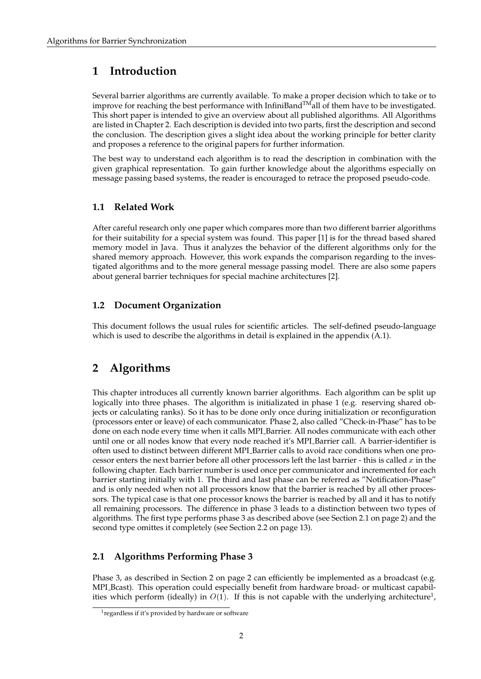## <span id="page-1-0"></span>**1 Introduction**

Several barrier algorithms are currently available. To make a proper decision which to take or to improve for reaching the best performance with InfiniBand $^{TM}$ all of them have to be investigated. This short paper is intended to give an overview about all published algorithms. All Algorithms are listed in Chapter [2.](#page-1-3) Each description is devided into two parts, first the description and second the conclusion. The description gives a slight idea about the working principle for better clarity and proposes a reference to the original papers for further information.

The best way to understand each algorithm is to read the description in combination with the given graphical representation. To gain further knowledge about the algorithms especially on message passing based systems, the reader is encouraged to retrace the proposed pseudo-code.

### <span id="page-1-1"></span>**1.1 Related Work**

After careful research only one paper which compares more than two different barrier algorithms for their suitability for a special system was found. This paper [\[1\]](#page-16-0) is for the thread based shared memory model in Java. Thus it analyzes the behavior of the different algorithms only for the shared memory approach. However, this work expands the comparison regarding to the investigated algorithms and to the more general message passing model. There are also some papers about general barrier techniques for special machine architectures [\[2\]](#page-16-1).

### <span id="page-1-2"></span>**1.2 Document Organization**

This document follows the usual rules for scientific articles. The self-defined pseudo-language which is used to describe the algorithms in detail is explained in the appendix  $(A.1)$ .

## <span id="page-1-3"></span>**2 Algorithms**

This chapter introduces all currently known barrier algorithms. Each algorithm can be split up logically into three phases. The algorithm is initializated in phase 1 (e.g. reserving shared objects or calculating ranks). So it has to be done only once during initialization or reconfiguration (processors enter or leave) of each communicator. Phase 2, also called "Check-in-Phase" has to be done on each node every time when it calls MPI Barrier. All nodes communicate with each other until one or all nodes know that every node reached it's MPI Barrier call. A barrier-identifier is often used to distinct between different MPI Barrier calls to avoid race conditions when one processor enters the next barrier before all other processors left the last barrier - this is called  $x$  in the following chapter. Each barrier number is used once per communicator and incremented for each barrier starting initially with 1. The third and last phase can be referred as "Notification-Phase" and is only needed when not all processors know that the barrier is reached by all other processors. The typical case is that one processor knows the barrier is reached by all and it has to notify all remaining processors. The difference in phase 3 leads to a distinction between two types of algorithms. The first type performs phase 3 as described above (see Section [2.1](#page-1-4) on page [2\)](#page-1-4) and the second type omittes it completely (see Section [2.2](#page-12-0) on page [13\)](#page-12-0).

### <span id="page-1-4"></span>**2.1 Algorithms Performing Phase 3**

Phase 3, as described in Section [2](#page-1-3) on page [2](#page-1-3) can efficiently be implemented as a broadcast (e.g. MPI Bcast). This operation could especially benefit from hardware broad- or multicast capabilities which perform (ideally) in  $O(1)$  $O(1)$  $O(1)$ . If this is not capable with the underlying architecture<sup>1</sup>,

<span id="page-1-5"></span><sup>&</sup>lt;sup>1</sup> regardless if it's provided by hardware or software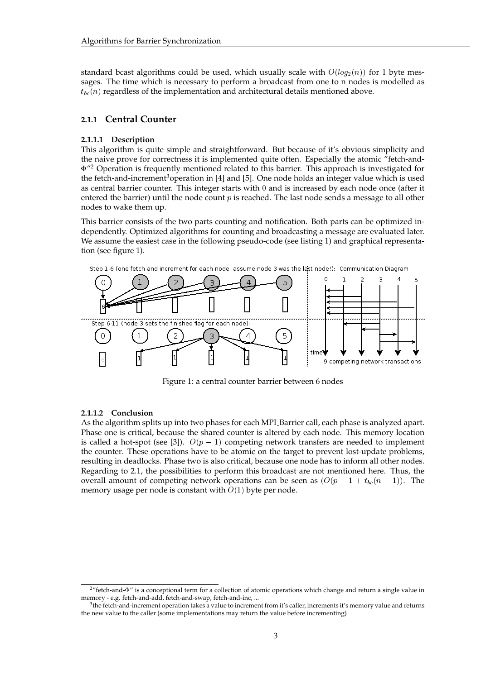standard bcast algorithms could be used, which usually scale with  $O(log_2(n))$  for 1 byte messages. The time which is necessary to perform a broadcast from one to n nodes is modelled as  $t_{bc}(n)$  regardless of the implementation and architectural details mentioned above.

### <span id="page-2-0"></span>**2.1.1 Central Counter**

#### **2.1.1.1 Description**

This algorithm is quite simple and straightforward. But because of it's obvious simplicity and the naive prove for correctness it is implemented quite often. Especially the atomic "fetch-and-  $\Phi''$ <sup>[2](#page-2-1)</sup> Operation is frequently mentioned related to this barrier. This approach is investigated for the fetch-and-increment<sup>[3](#page-2-2)</sup>operation in [\[4\]](#page-16-2) and [\[5\]](#page-16-3). One node holds an integer value which is used as central barrier counter. This integer starts with 0 and is increased by each node once (after it entered the barrier) until the node count  $p$  is reached. The last node sends a message to all other nodes to wake them up.

This barrier consists of the two parts counting and notification. Both parts can be optimized independently. Optimized algorithms for counting and broadcasting a message are evaluated later. We assume the easiest case in the following pseudo-code (see listing [1\)](#page-3-1) and graphical representation (see figure [1\)](#page-2-3).



<span id="page-2-3"></span>Figure 1: a central counter barrier between 6 nodes

#### **2.1.1.2 Conclusion**

As the algorithm splits up into two phases for each MPI Barrier call, each phase is analyzed apart. Phase one is critical, because the shared counter is altered by each node. This memory location is called a hot-spot (see [\[3\]](#page-16-4)).  $O(p - 1)$  competing network transfers are needed to implement the counter. These operations have to be atomic on the target to prevent lost-update problems, resulting in deadlocks. Phase two is also critical, because one node has to inform all other nodes. Regarding to [2.1,](#page-1-4) the possibilities to perform this broadcast are not mentioned here. Thus, the overall amount of competing network operations can be seen as  $(O(p - 1 + t_{bc}(n - 1))$ . The memory usage per node is constant with  $O(1)$  byte per node.

<span id="page-2-1"></span> $2$ "fetch-and- $\Phi$ " is a conceptional term for a collection of atomic operations which change and return a single value in memory - e.g. fetch-and-add, fetch-and-swap, fetch-and-inc, ...

<span id="page-2-2"></span> $^3$ the fetch-and-increment operation takes a value to increment from it's caller, increments it's memory value and returns the new value to the caller (some implementations may return the value before incrementing)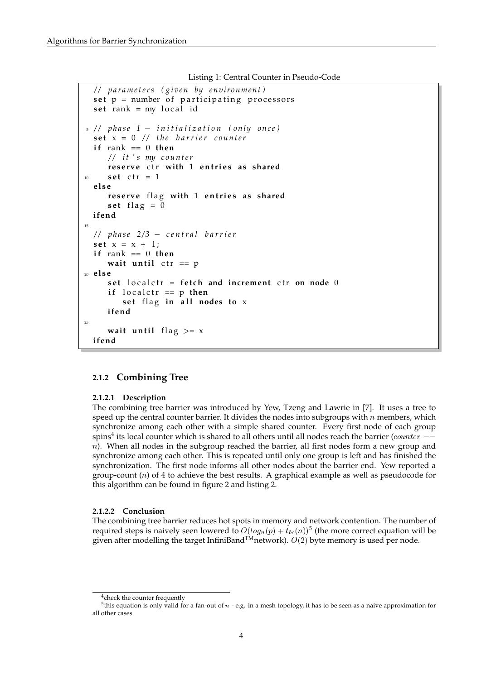```
Listing 1: Central Counter in Pseudo-Code
```

```
/ / p a r a m e t e r s ( gi v e n by e n vi r o nm e n t )
  set p = number of participating processors
  set rank = my local id
5 / / p h a s e 1  i n i t i a l i z a t i o n ( o nl y o n c e )
  \textbf{set } \textbf{x} = 0 // the barrier counter
  if rank == 0 then
      / / i t ' s my c o u n t e r
      reserve ctr with 1 entries as shared
_{10} set ctr = 1
  e l s e
      reserve flag with 1 entries as shared
      set flag = 0
  ifend
15/ / p h a s e 2/ 3  c e n t r a l b a r r i e r
  set x = x + 1;
  if rank == 0 then
      wait until ctr == p
20 e l s e
      set localctr = fetch and increment ctr on node 0
      if localctr == p then
         set flag in all nodes to x
      ifend
25
      wait until flag >= xifend
```
### <span id="page-3-0"></span>**2.1.2 Combining Tree**

#### **2.1.2.1 Description**

The combining tree barrier was introduced by Yew, Tzeng and Lawrie in [\[7\]](#page-16-5). It uses a tree to speed up the central counter barrier. It divides the nodes into subgroups with  $n$  members, which synchronize among each other with a simple shared counter. Every first node of each group spins<sup>[4](#page-3-2)</sup> its local counter which is shared to all others until all nodes reach the barrier ( $counter ==$  $n$ ). When all nodes in the subgroup reached the barrier, all first nodes form a new group and synchronize among each other. This is repeated until only one group is left and has finished the synchronization. The first node informs all other nodes about the barrier end. Yew reported a group-count  $(n)$  of 4 to achieve the best results. A graphical example as well as pseudocode for this algorithm can be found in figure [2](#page-4-0) and listing [2.](#page-5-0)

#### **2.1.2.2 Conclusion**

The combining tree barrier reduces hot spots in memory and network contention. The number of required steps is naively seen lowered to  $O(log_n(p) + t_{bc}(n))^5$  $O(log_n(p) + t_{bc}(n))^5$  (the more correct equation will be given after modelling the target InfiniBand<sup>TM</sup>network).  $O(2)$  byte memory is used per node.

<span id="page-3-3"></span><span id="page-3-2"></span><sup>&</sup>lt;sup>4</sup> check the counter frequently

 $5$ this equation is only valid for a fan-out of  $n$  - e.g. in a mesh topology, it has to be seen as a naive approximation for all other cases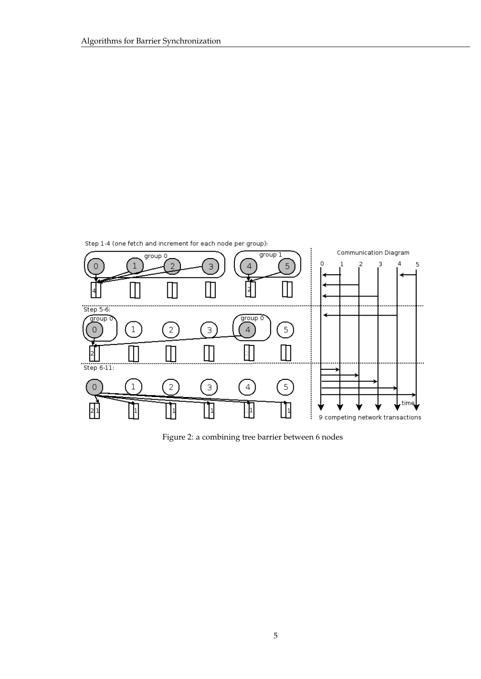

<span id="page-4-0"></span>Figure 2: a combining tree barrier between 6 nodes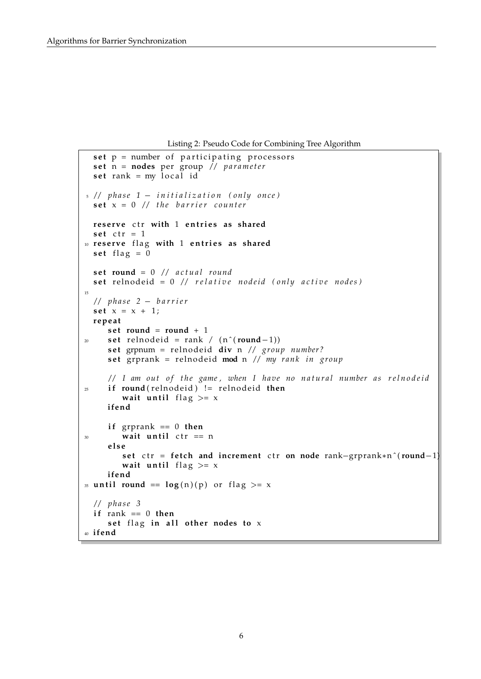Listing 2: Pseudo Code for Combining Tree Algorithm

```
set p = number of participating processors
  \text{set } n = \text{nodes per group} // parameter
  \text{set} rank = my local id
5 / / p h a s e 1  i n i t i a l i z a t i o n ( o nl y o n c e )
  \textbf{set } \textbf{x} = 0 // the barrier counter
  reserve ctr with 1 entries as shared
  set ctr = 1
10 reserve flag with 1 entries as shared
  \text{set } flag = 0
  set round = 0 // actual round
  set relnodeid = 0 // relative nodeid (only active nodes)
15
  / / p h a s e 2  b a r r i e r
  set x = x + 1;
  r ep e a t
     set round = round + 1
20 set relnodeid = rank / (n^{(round-1)})set grpnum = relnodeid div n // group number?
     set grprank = relnodeid mod n // my rank in group
     // I am out of the game, when I have no natural number as relnodeid
<sup>25</sup> if round(relnodeid) != relnodeid then
         wait until flag >= xifend
     \mathbf{if} grprank == 0 then
30 wait until ctr == n
     e l s e
         set ctr = fetch and increment ctr on node rank-grprank*n^(round-1)
         wait until flag >= xifend
35 until round == \log(n)(p) or flag >= x
  / / p h a s e 3
  if rank == 0 then
     set flag in all other nodes to x
40 ifend
```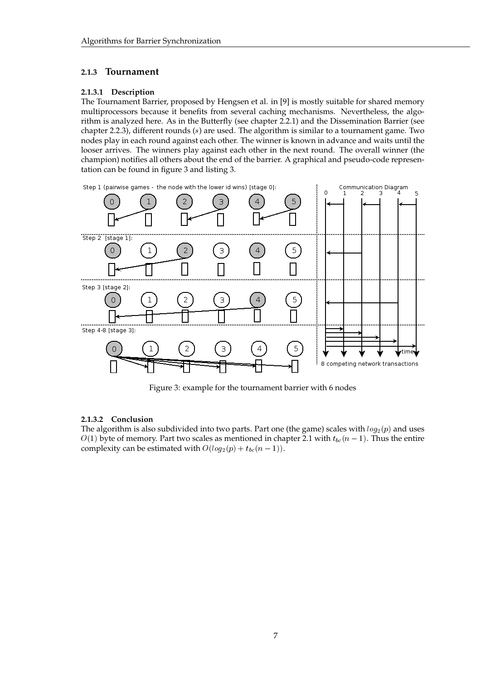### <span id="page-6-0"></span>**2.1.3 Tournament**

### **2.1.3.1 Description**

The Tournament Barrier, proposed by Hengsen et al. in [\[9\]](#page-16-6) is mostly suitable for shared memory multiprocessors because it benefits from several caching mechanisms. Nevertheless, the algorithm is analyzed here. As in the Butterfly (see chapter [2.2.1\)](#page-12-1) and the Dissemination Barrier (see chapter [2.2.3\)](#page-15-0), different rounds (s) are used. The algorithm is similar to a tournament game. Two nodes play in each round against each other. The winner is known in advance and waits until the looser arrives. The winners play against each other in the next round. The overall winner (the champion) notifies all others about the end of the barrier. A graphical and pseudo-code representation can be found in figure [3](#page-6-1) and listing [3.](#page-7-1)



<span id="page-6-1"></span>Figure 3: example for the tournament barrier with 6 nodes

### **2.1.3.2 Conclusion**

The algorithm is also subdivided into two parts. Part one (the game) scales with  $log_2(p)$  and uses  $O(1)$  byte of memory. Part two scales as mentioned in chapter [2.1](#page-1-4) with  $t_{bc}(n-1)$ . Thus the entire complexity can be estimated with  $O(log_2(p) + t_{bc}(n - 1)).$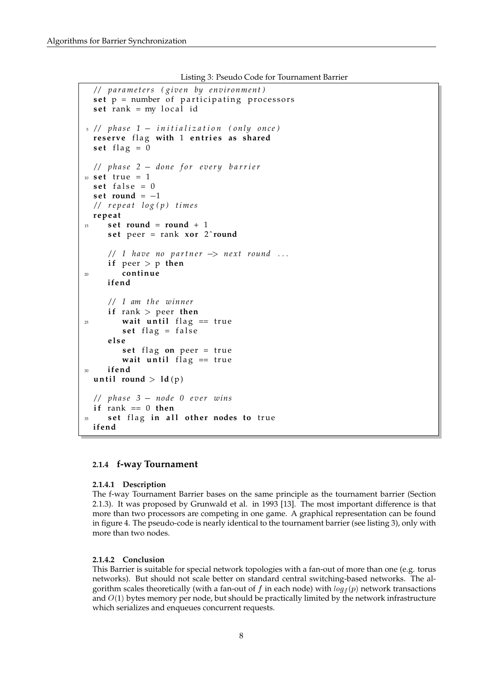Listing 3: Pseudo Code for Tournament Barrier

```
/ / p a r a m e t e r s ( gi v e n by e n vi r o nm e n t )
  set p = number of participating processors
  set rank = my local id
5 / / p h a s e 1  i n i t i a l i z a t i o n ( o nl y o n c e )
  reserve flag with 1 entries as shared
  set flag = 0
  / / p h a s e 2  don e f o r e v e r y b a r r i e r
10 set true = 1
  set false = 0
  set round = -1/ / r e p e a t l o g ( p ) t i m e s
  r ep e a t
15 set round = round + 1
      set peer = rank xor 2<sup>\sim</sup> round
      1/1 have no partner \Rightarrow next round ...
      if peer > p then
20 con t inue
      ifend
      / / I am t h e winn e r
      if rank > peer then
<sup>25</sup> wait until flag == true
         set flag = false
      e l s e
         set flag on peer = true
         wait until flag == true
30 ifend
  until round > ld(p)/ / p h a s e 3  no d e 0 e v e r wins
  if rank == 0 then
      set flag in all other nodes to true
  ifend
```
### <span id="page-7-0"></span>**2.1.4 f-way Tournament**

### **2.1.4.1 Description**

The f-way Tournament Barrier bases on the same principle as the tournament barrier (Section [2.1.3\)](#page-6-0). It was proposed by Grunwald et al. in 1993 [\[13\]](#page-17-3). The most important difference is that more than two processors are competing in one game. A graphical representation can be found in figure [4.](#page-8-1) The pseudo-code is nearly identical to the tournament barrier (see listing [3\)](#page-7-1), only with more than two nodes.

### **2.1.4.2 Conclusion**

This Barrier is suitable for special network topologies with a fan-out of more than one (e.g. torus networks). But should not scale better on standard central switching-based networks. The algorithm scales theoretically (with a fan-out of f in each node) with  $log_f(p)$  network transactions and  $O(1)$  bytes memory per node, but should be practically limited by the network infrastructure which serializes and enqueues concurrent requests.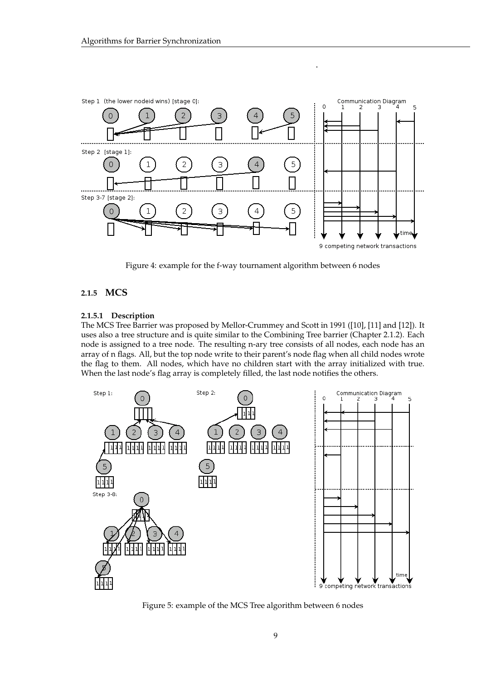

<span id="page-8-1"></span>Figure 4: example for the f-way tournament algorithm between 6 nodes

### <span id="page-8-0"></span>**2.1.5 MCS**

### **2.1.5.1 Description**

The MCS Tree Barrier was proposed by Mellor-Crummey and Scott in 1991 ([\[10\]](#page-16-7), [\[11\]](#page-16-8) and [\[12\]](#page-16-9)). It uses also a tree structure and is quite similar to the Combining Tree barrier (Chapter [2.1.2\)](#page-3-0). Each node is assigned to a tree node. The resulting n-ary tree consists of all nodes, each node has an array of n flags. All, but the top node write to their parent's node flag when all child nodes wrote the flag to them. All nodes, which have no children start with the array initialized with true. When the last node's flag array is completely filled, the last node notifies the others.



Figure 5: example of the MCS Tree algorithm between 6 nodes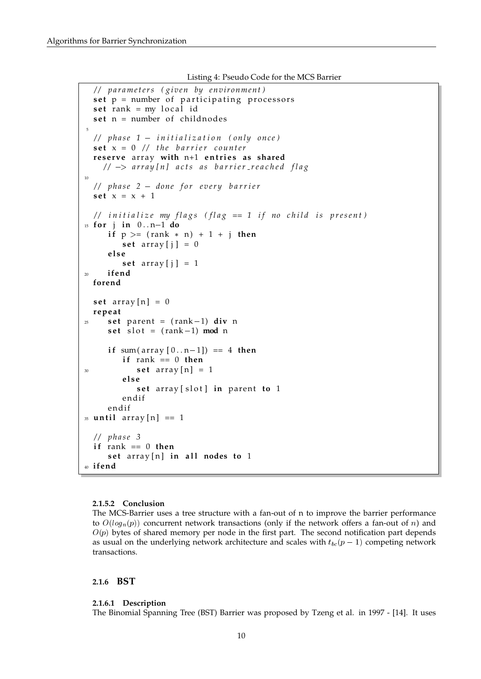```
Listing 4: Pseudo Code for the MCS Barrier
```

```
/ / p a r a m e t e r s ( gi v e n by e n vi r o nm e n t )
  set p = number of participating processors
  set rank = my local id
  set n = number of childnodes
 5
  / / p h a s e 1  i n i t i a l i z a t i o n ( o nl y o n c e )
  \textbf{set } \textbf{x} = 0 // the barrier counter
  reserve array with n+1 entries as shared
    / / > a r r a y [ n ] a c t s a s b a r r i e r r e a c h e d f l a g
10
  / / p h a s e 2  don e f o r e v e r y b a r r i e r
  set x = x + 1// initialize my flags (flag == 1 if no child is present)
15 for j in 0 \dots n-1 do
      if p \ge (rank * n) + 1 + j then
         set array [i] = 0e l s e
         set array [ j ] = 1
20 ifend
  forend
  set array [n] = 0r ep e a t
25 set parent = (\text{rank}-1) div n
      set slot = (rank-1) mod n
      if sum(array[0..n-1]) == 4 then
         if rank == 0 then
30 s e t a r r ay [ n ] = 1
         e l s e
             set array [slot] in parent to 1
         endif
      endif
35 until array [n] == 1/ / p h a s e 3
  \mathbf{if} rank == 0 then
      set array [n] in all nodes to 1
40 ifend
```
#### **2.1.5.2 Conclusion**

The MCS-Barrier uses a tree structure with a fan-out of n to improve the barrier performance to  $O(log_n(p))$  concurrent network transactions (only if the network offers a fan-out of n) and  $O(p)$  bytes of shared memory per node in the first part. The second notification part depends as usual on the underlying network architecture and scales with  $t_{bc}(p - 1)$  competing network transactions.

#### <span id="page-9-0"></span>**2.1.6 BST**

#### **2.1.6.1 Description**

The Binomial Spanning Tree (BST) Barrier was proposed by Tzeng et al. in 1997 - [\[14\]](#page-17-4). It uses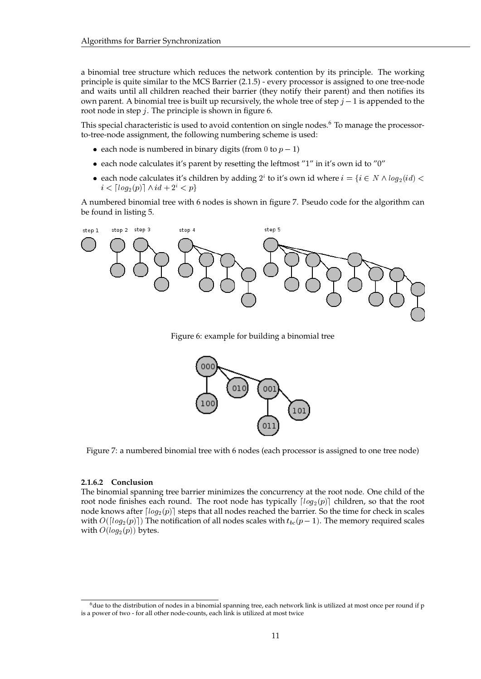a binomial tree structure which reduces the network contention by its principle. The working principle is quite similar to the MCS Barrier [\(2.1.5\)](#page-8-0) - every processor is assigned to one tree-node and waits until all children reached their barrier (they notify their parent) and then notifies its own parent. A binomial tree is built up recursively, the whole tree of step  $j - 1$  is appended to the root node in step j. The principle is shown in figure [6.](#page-10-0)

This special characteristic is used to avoid contention on single nodes.<sup>[6](#page-10-1)</sup> To manage the processorto-tree-node assignment, the following numbering scheme is used:

- each node is numbered in binary digits (from 0 to  $p 1$ )
- each node calculates it's parent by resetting the leftmost "1" in it's own id to "0"
- each node calculates it's children by adding  $2^i$  to it's own id where  $i = \{i \in N \land log_2(id)$  <  $i < \lceil log_2(p) \rceil \wedge id + 2^i < p$

A numbered binomial tree with 6 nodes is shown in figure [7.](#page-10-2) Pseudo code for the algorithm can be found in listing [5.](#page-11-0)



Figure 6: example for building a binomial tree

<span id="page-10-0"></span>

<span id="page-10-2"></span>Figure 7: a numbered binomial tree with 6 nodes (each processor is assigned to one tree node)

#### **2.1.6.2 Conclusion**

The binomial spanning tree barrier minimizes the concurrency at the root node. One child of the root node finishes each round. The root node has typically  $\lceil log_2(p) \rceil$  children, so that the root node knows after  $\lceil log_2(p) \rceil$  steps that all nodes reached the barrier. So the time for check in scales with  $O([log_2(p)])$  The notification of all nodes scales with  $t_{bc}(p - 1)$ . The memory required scales with  $O(log_2(p))$  bytes.

<span id="page-10-1"></span> $6$ due to the distribution of nodes in a binomial spanning tree, each network link is utilized at most once per round if p is a power of two - for all other node-counts, each link is utilized at most twice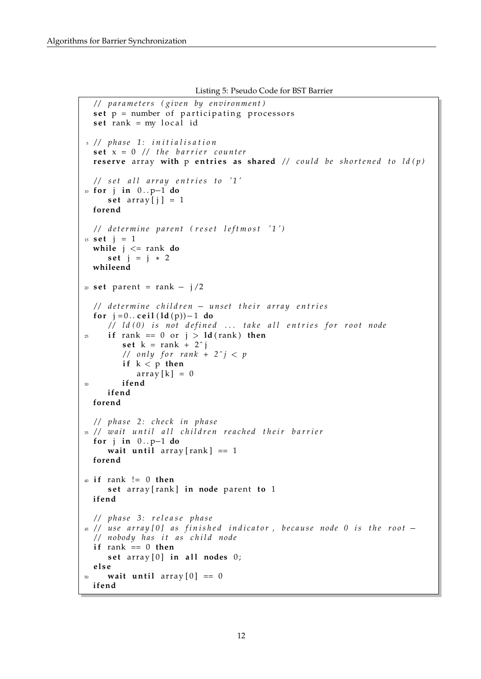```
Listing 5: Pseudo Code for BST Barrier
```

```
/ / p a r a m e t e r s ( gi v e n by e n vi r o nm e n t )
  set p = number of participating processors
  set rank = my local id
5 / / p h a s e 1 : i n i t i a l i s a t i o n
  \textbf{set } \textbf{x} = 0 // the barrier counter
  reserve array with p entries as shared // could be shortened to ld(p)
  // set all array entries to '1'
10 for j in 0..p-1 do
     set array [i] = 1forend
  // determine parent (reset leftmost '1')
15 set j = 1while j <= rank do
     set j = j * 2whileend
20 set parent = rank - j/2/ / d e t e r m i n e c h i l d r e n  u n s e t t h e i r a r r a y e n t r i e s
  for j = 0... ceil (\text{Id}(p)) - 1 do
     // ld(0) is not defined ... take all entries for root node
25 if rank == 0 or j > Id (rank) then
         set k = rank + 2^i// only for rank + 2^j < p
         if k < p then
             array[k] = 030 ifend
     ifend
  forend
  / / p h a s e 2 : c h e c k i n p h a s e
35 // wait until all children reached their barrier
  for j in 0..p-1 do
     wait until array [rank] == 1forend
40 i f rank != 0 then
     set array [rank] in node parent to 1
  ifend
  / / p h a s e 3 : r e l e a s e p h a s e
\frac{45}{45} // use array [0] as finished indicator, because node 0 is the root -
  / / nobody h a s i t a s c h i l d no d e
  \mathbf{if} rank == 0 then
     set array [0] in all nodes 0;
  e l s e
     wait until array [0] == 0ifend
```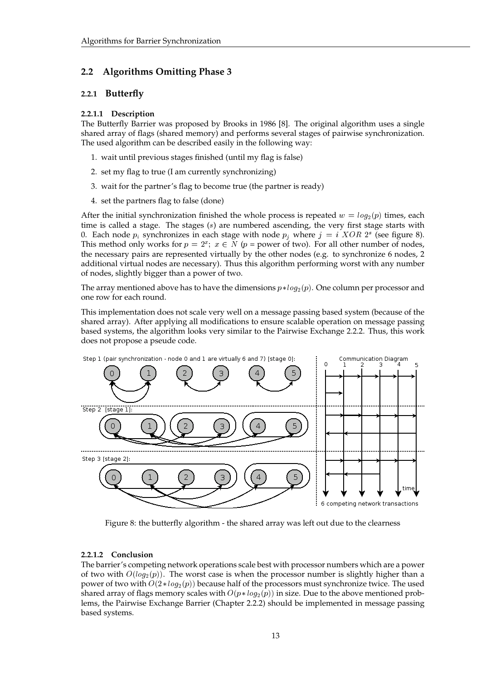### <span id="page-12-0"></span>**2.2 Algorithms Omitting Phase 3**

### <span id="page-12-1"></span>**2.2.1 Butterfly**

#### **2.2.1.1 Description**

The Butterfly Barrier was proposed by Brooks in 1986 [\[8\]](#page-16-10). The original algorithm uses a single shared array of flags (shared memory) and performs several stages of pairwise synchronization. The used algorithm can be described easily in the following way:

- 1. wait until previous stages finished (until my flag is false)
- 2. set my flag to true (I am currently synchronizing)
- 3. wait for the partner's flag to become true (the partner is ready)
- 4. set the partners flag to false (done)

After the initial synchronization finished the whole process is repeated  $w = log_2(p)$  times, each time is called a stage. The stages  $(s)$  are numbered ascending, the very first stage starts with 0. Each node  $p_i$  synchronizes in each stage with node  $p_j$  where  $j = i \, XOR \, 2^s$  (see figure [8\)](#page-12-2). This method only works for  $p = 2^x$ ;  $x \in N$  ( $p =$  power of two). For all other number of nodes, the necessary pairs are represented virtually by the other nodes (e.g. to synchronize 6 nodes, 2 additional virtual nodes are necessary). Thus this algorithm performing worst with any number of nodes, slightly bigger than a power of two.

The array mentioned above has to have the dimensions  $p * log_2(p)$ . One column per processor and one row for each round.

This implementation does not scale very well on a message passing based system (because of the shared array). After applying all modifications to ensure scalable operation on message passing based systems, the algorithm looks very similar to the Pairwise Exchange [2.2.2.](#page-13-0) Thus, this work does not propose a pseude code.



<span id="page-12-2"></span>Figure 8: the butterfly algorithm - the shared array was left out due to the clearness

#### **2.2.1.2 Conclusion**

The barrier's competing network operations scale best with processor numbers which are a power of two with  $O(log_2(p))$ . The worst case is when the processor number is slightly higher than a power of two with  $O(2 * log_2(p))$  because half of the processors must synchronize twice. The used shared array of flags memory scales with  $O(p * log_2(p))$  in size. Due to the above mentioned problems, the Pairwise Exchange Barrier (Chapter [2.2.2\)](#page-13-0) should be implemented in message passing based systems.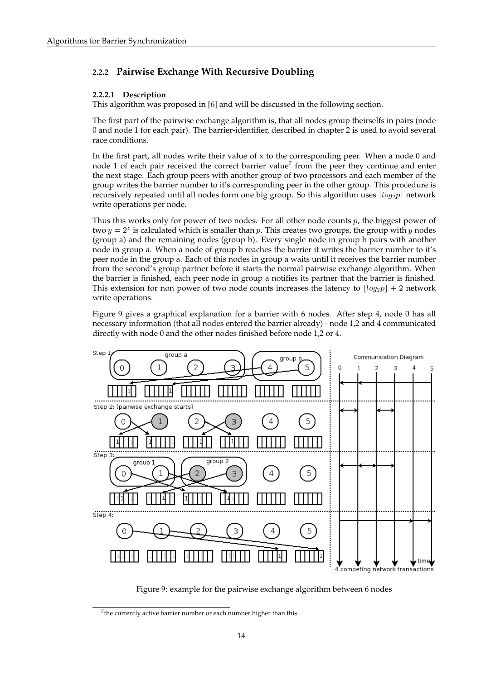### <span id="page-13-0"></span>**2.2.2 Pairwise Exchange With Recursive Doubling**

### **2.2.2.1 Description**

This algorithm was proposed in [\[6\]](#page-16-11) and will be discussed in the following section.

The first part of the pairwise exchange algorithm is, that all nodes group theirselfs in pairs (node 0 and node 1 for each pair). The barrier-identifier, described in chapter [2](#page-1-3) is used to avoid several race conditions.

In the first part, all nodes write their value of  $x$  to the corresponding peer. When a node  $0$  and node 1 of each pair received the correct barrier value<sup>[7](#page-13-1)</sup> from the peer they continue and enter the next stage. Each group peers with another group of two processors and each member of the group writes the barrier number to it's corresponding peer in the other group. This procedure is recursively repeated until all nodes form one big group. So this algorithm uses  $\lfloor log_2p \rfloor$  network write operations per node.

Thus this works only for power of two nodes. For all other node counts  $p$ , the biggest power of two  $y = 2^z$  is calculated which is smaller than p. This creates two groups, the group with y nodes (group a) and the remaining nodes (group b). Every single node in group b pairs with another node in group a. When a node of group b reaches the barrier it writes the barrier number to it's peer node in the group a. Each of this nodes in group a waits until it receives the barrier number from the second's group partner before it starts the normal pairwise exchange algorithm. When the barrier is finished, each peer node in group a notifies its partner that the barrier is finished. This extension for non power of two node counts increases the latency to  $\lfloor log_2 p \rfloor + 2$  network write operations.

Figure [9](#page-13-2) gives a graphical explanation for a barrier with 6 nodes. After step 4, node 0 has all necessary information (that all nodes entered the barrier already) - node 1,2 and 4 communicated directly with node 0 and the other nodes finished before node 1,2 or 4.



<span id="page-13-2"></span>Figure 9: example for the pairwise exchange algorithm between 6 nodes

<span id="page-13-1"></span> $7$ the currently active barrier number or each number higher than this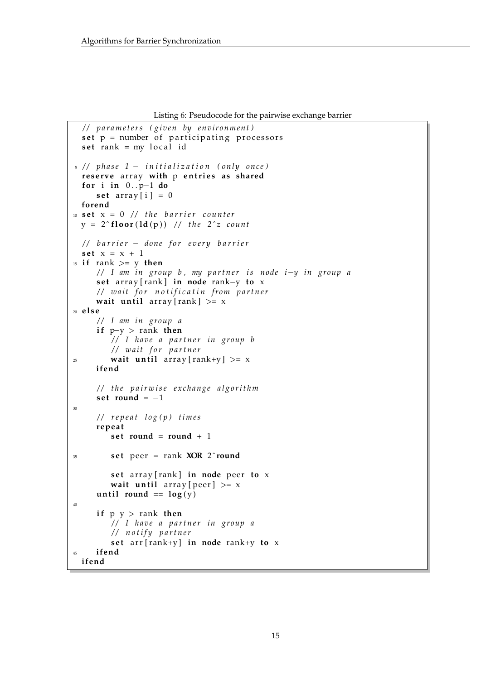```
Listing 6: Pseudocode for the pairwise exchange barrier
```

```
/ / p a r a m e t e r s ( gi v e n by e n vi r o nm e n t )
  set p = number of participating processors
  set rank = my local id
5 / / p h a s e 1  i n i t i a l i z a t i o n ( o nl y o n c e )
  reserve array with p entries as shared
  for i in 0..p-1 do
      set array [i] = 0forend
10 set x = 0 // the barrier counter
  y = 2<sup>c</sup> floor (ld(p)) // the 2<sup>c</sup>z count
  / / b a r r i e r  don e f o r e v e r y b a r r i e r
  set x = x + 115 if rank >= y then
      // I am in group b, my partner is node i-y in group a
      set array [rank] in node rank-y to x
      / / w ai t f o r n o t i f i c a t i n f rom p a r t n e r
      wait until array [rank] > = x20 e l s e
      / / I am i n g rou p a
      if p-y > rank then
          / / I h a v e a p a r t n e r i n g rou p b
          // wait for partner
\alpha<sup>25</sup> wait until array \lceil \text{rank} + y \rceil > = xifend
      / / t h e p a i r w i s e e x c h a n g e a l g o r i t h m
      set round = -130
      / / r e p e a t l o g ( p ) t i m e s
      r ep e a t
          set round = round + 1
35 s e t peer = rank XOR 2 ˆround
          set array [rank] in node peer to x
          wait until array [peer] >= x
      until round == \log(y)40
      if p-y > rank then
          / / I h a v e a p a r t n e r i n g rou p a
          / / n o t i f y p a r t n e r
          s e t a r r [ rank+y ] in node rank+y to x
45 ifend
  ifend
```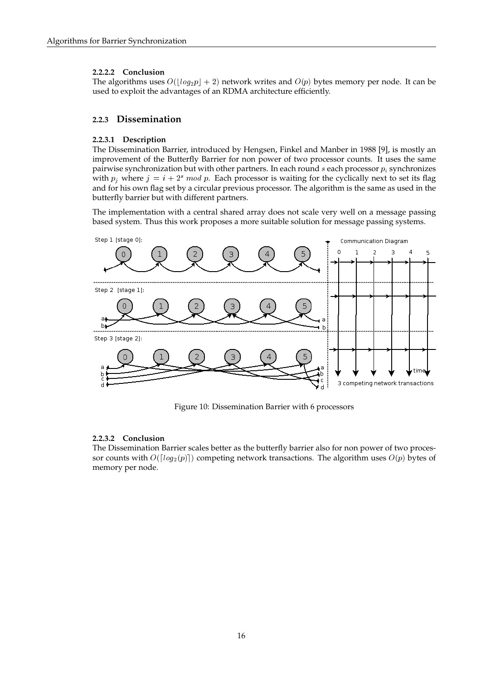### **2.2.2.2 Conclusion**

The algorithms uses  $O(|log_2p| + 2)$  network writes and  $O(p)$  bytes memory per node. It can be used to exploit the advantages of an RDMA architecture efficiently.

### <span id="page-15-0"></span>**2.2.3 Dissemination**

### **2.2.3.1 Description**

The Dissemination Barrier, introduced by Hengsen, Finkel and Manber in 1988 [\[9\]](#page-16-6), is mostly an improvement of the Butterfly Barrier for non power of two processor counts. It uses the same pairwise synchronization but with other partners. In each round  $s$  each processor  $p_i$  synchronizes with  $p_i$  where  $j = i + 2<sup>s</sup>$  mod p. Each processor is waiting for the cyclically next to set its flag and for his own flag set by a circular previous processor. The algorithm is the same as used in the butterfly barrier but with different partners.

The implementation with a central shared array does not scale very well on a message passing based system. Thus this work proposes a more suitable solution for message passing systems.



Figure 10: Dissemination Barrier with 6 processors

### **2.2.3.2 Conclusion**

The Dissemination Barrier scales better as the butterfly barrier also for non power of two processor counts with  $O([log_2(p)])$  competing network transactions. The algorithm uses  $O(p)$  bytes of memory per node.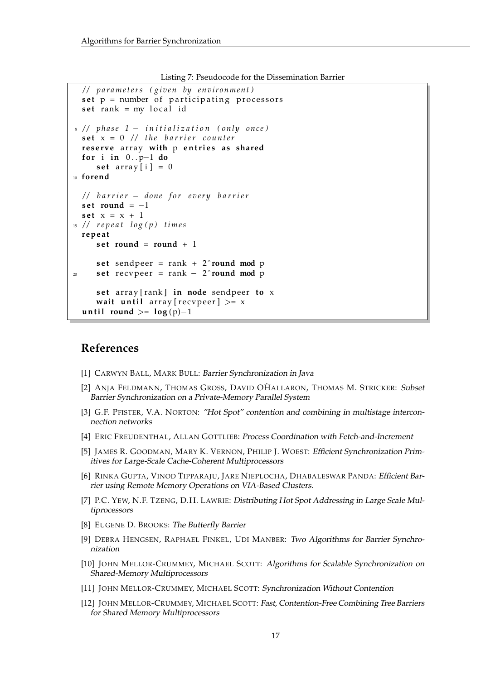```
Listing 7: Pseudocode for the Dissemination Barrier
```

```
/ / p a r a m e t e r s ( gi v e n by e n vi r o nm e n t )
  set p = number of participating processors
  set rank = my local id
5 / / p h a s e 1  i n i t i a l i z a t i o n ( o nl y o n c e )
  \textbf{set} \times = 0 // the barrier counter
  reserve array with p entries as shared
  for i in 0 \cdot p - 1 do
      set array [i] = 0
10 forend
  / / b a r r i e r  don e f o r e v e r y b a r r i e r
  set round = -1\text{set } x = x + 115 / / r e p e a t l o g ( p ) t i m e s
  r ep e a t
      set round = round + 1
      set sendpeer = rank + 2<sup>\degree</sup>round mod p
20 set recvpeer = rank -2round mod p
      set array [rank] in node sendpeer to x
      wait until array [recypeer] > xuntil round >=[log(p)-1]
```
### **References**

- <span id="page-16-0"></span>[1] CARWYN BALL, MARK BULL: Barrier Synchronization in Java
- <span id="page-16-1"></span>[2] ANJA FELDMANN, THOMAS GROSS, DAVID OHALLARON, THOMAS M. STRICKER: Subset Barrier Synchronization on a Private-Memory Parallel System
- <span id="page-16-4"></span>[3] G.F. PFISTER, V.A. NORTON: "Hot Spot" contention and combining in multistage interconnection networks
- <span id="page-16-2"></span>[4] ERIC FREUDENTHAL, ALLAN GOTTLIEB: Process Coordination with Fetch-and-Increment
- <span id="page-16-3"></span>[5] JAMES R. GOODMAN, MARY K. VERNON, PHILIP J. WOEST: Efficient Synchronization Primitives for Large-Scale Cache-Coherent Multiprocessors
- <span id="page-16-11"></span>[6] RINKA GUPTA, VINOD TIPPARAJU, JARE NIEPLOCHA, DHABALESWAR PANDA: Efficient Barrier using Remote Memory Operations on VIA-Based Clusters.
- <span id="page-16-5"></span>[7] P.C. YEW, N.F. TZENG, D.H. LAWRIE: Distributing Hot Spot Addressing in Large Scale Multiprocessors
- <span id="page-16-10"></span>[8] EUGENE D. BROOKS: The Butterfly Barrier
- <span id="page-16-6"></span>[9] DEBRA HENGSEN, RAPHAEL FINKEL, UDI MANBER: Two Algorithms for Barrier Synchronization
- <span id="page-16-7"></span>[10] JOHN MELLOR-CRUMMEY, MICHAEL SCOTT: Algorithms for Scalable Synchronization on Shared-Memory Multiprocessors
- <span id="page-16-8"></span>[11] JOHN MELLOR-CRUMMEY, MICHAEL SCOTT: Synchronization Without Contention
- <span id="page-16-9"></span>[12] JOHN MELLOR-CRUMMEY, MICHAEL SCOTT: Fast, Contention-Free Combining Tree Barriers for Shared Memory Multiprocessors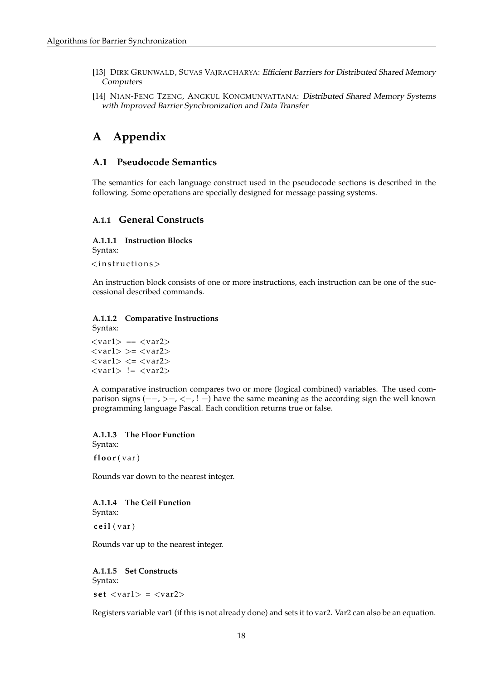- <span id="page-17-3"></span>[13] DIRK GRUNWALD, SUVAS VAJRACHARYA: Efficient Barriers for Distributed Shared Memory Computers
- <span id="page-17-4"></span>[14] NIAN-FENG TZENG, ANGKUL KONGMUNVATTANA: Distributed Shared Memory Systems with Improved Barrier Synchronization and Data Transfer

## <span id="page-17-0"></span>**A Appendix**

### <span id="page-17-1"></span>**A.1 Pseudocode Semantics**

The semantics for each language construct used in the pseudocode sections is described in the following. Some operations are specially designed for message passing systems.

### <span id="page-17-2"></span>**A.1.1 General Constructs**

**A.1.1.1 Instruction Blocks** Syntax:  $<$ instructions>

An instruction block consists of one or more instructions, each instruction can be one of the successional described commands.

#### **A.1.1.2 Comparative Instructions**

Syntax:

 $\langle var1 \rangle == \langle var2 \rangle$  $\langle var1 \rangle \rangle = \langle var2 \rangle$  $\langle var1 \rangle \langle = \langle var2 \rangle$  $\langle var1 \rangle$  !=  $\langle var2 \rangle$ 

A comparative instruction compares two or more (logical combined) variables. The used comparison signs  $(==, >=, <=, ! =)$  have the same meaning as the according sign the well known programming language Pascal. Each condition returns true or false.

**A.1.1.3 The Floor Function** Syntax: **f l o o r** ( var )

Rounds var down to the nearest integer.

**A.1.1.4 The Ceil Function** Syntax:

**c e i l** ( var )

Rounds var up to the nearest integer.

### **A.1.1.5 Set Constructs**

Syntax:  $set$   $\langle var1 \rangle$  =  $\langle var2 \rangle$ 

Registers variable var1 (if this is not already done) and sets it to var2. Var2 can also be an equation.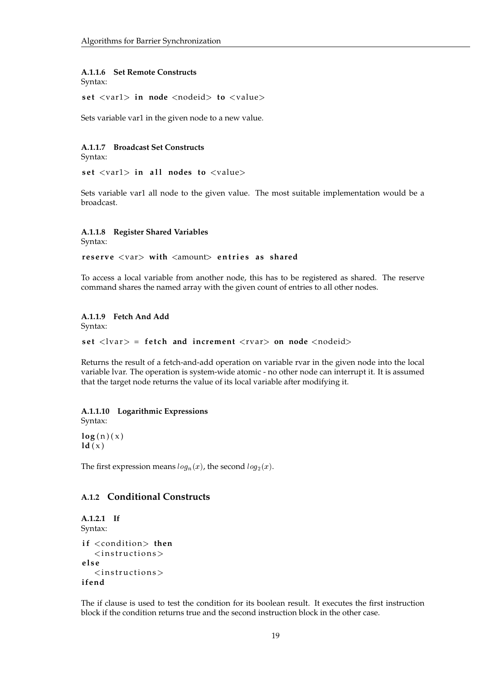#### **A.1.1.6 Set Remote Constructs**

Syntax:

set <var1> in node <nodeid> to <value>

Sets variable var1 in the given node to a new value.

### **A.1.1.7 Broadcast Set Constructs**

Syntax:

set <var1> in all nodes to <value>

Sets variable var1 all node to the given value. The most suitable implementation would be a broadcast.

### **A.1.1.8 Register Shared Variables**

Syntax:

**reserve** <var> with <amount> entries as shared

To access a local variable from another node, this has to be registered as shared. The reserve command shares the named array with the given count of entries to all other nodes.

#### **A.1.1.9 Fetch And Add**

Syntax:

**set**  $\langle \text{lvar} \rangle$  = **fetch and increment**  $\langle \text{rvar} \rangle$  on node  $\langle \text{nodeid} \rangle$ 

Returns the result of a fetch-and-add operation on variable rvar in the given node into the local variable lvar. The operation is system-wide atomic - no other node can interrupt it. It is assumed that the target node returns the value of its local variable after modifying it.

### **A.1.1.10 Logarithmic Expressions**

Syntax:

 $log(n)(x)$  $ld(x)$ 

The first expression means  $log_n(x)$ , the second  $log_2(x)$ .

### <span id="page-18-0"></span>**A.1.2 Conditional Constructs**

```
A.1.2.1 If
Syntax:
if <condition> then
    \langleinstructions>
e l s e
    \langleinstructions>
ifend
```
The if clause is used to test the condition for its boolean result. It executes the first instruction block if the condition returns true and the second instruction block in the other case.